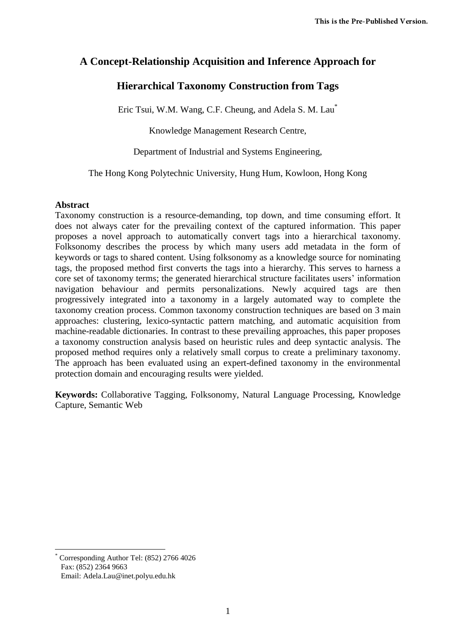# **A Concept-Relationship Acquisition and Inference Approach for**

# **Hierarchical Taxonomy Construction from Tags**

Eric Tsui, W.M. Wang, C.F. Cheung, and Adela S. M. Lau\*

Knowledge Management Research Centre,

Department of Industrial and Systems Engineering,

The Hong Kong Polytechnic University, Hung Hum, Kowloon, Hong Kong

## **Abstract**

Taxonomy construction is a resource-demanding, top down, and time consuming effort. It does not always cater for the prevailing context of the captured information. This paper proposes a novel approach to automatically convert tags into a hierarchical taxonomy. Folksonomy describes the process by which many users add metadata in the form of keywords or tags to shared content. Using folksonomy as a knowledge source for nominating tags, the proposed method first converts the tags into a hierarchy. This serves to harness a core set of taxonomy terms; the generated hierarchical structure facilitates users" information navigation behaviour and permits personalizations. Newly acquired tags are then progressively integrated into a taxonomy in a largely automated way to complete the taxonomy creation process. Common taxonomy construction techniques are based on 3 main approaches: clustering, lexico-syntactic pattern matching, and automatic acquisition from machine-readable dictionaries. In contrast to these prevailing approaches, this paper proposes a taxonomy construction analysis based on heuristic rules and deep syntactic analysis. The proposed method requires only a relatively small corpus to create a preliminary taxonomy. The approach has been evaluated using an expert-defined taxonomy in the environmental protection domain and encouraging results were yielded.

**Keywords:** Collaborative Tagging, Folksonomy, Natural Language Processing, Knowledge Capture, Semantic Web

-

<sup>\*</sup> Corresponding Author Tel: (852) 2766 4026 Fax: (852) 2364 9663

Email: Adela.Lau@inet.polyu.edu.hk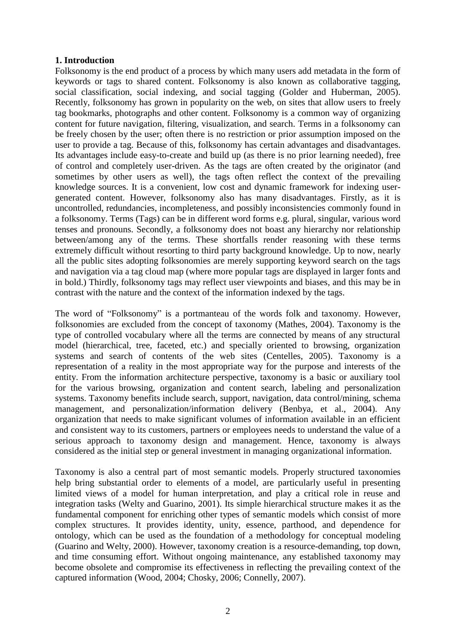## **1. Introduction**

Folksonomy is the end product of a process by which many users add metadata in the form of keywords or tags to shared content. Folksonomy is also known as collaborative tagging, social classification, social indexing, and social tagging (Golder and Huberman, 2005). Recently, folksonomy has grown in popularity on the web, on sites that allow users to freely tag bookmarks, photographs and other content. Folksonomy is a common way of organizing content for future navigation, filtering, visualization, and search. Terms in a folksonomy can be freely chosen by the user; often there is no restriction or prior assumption imposed on the user to provide a tag. Because of this, folksonomy has certain advantages and disadvantages. Its advantages include easy-to-create and build up (as there is no prior learning needed), free of control and completely user-driven. As the tags are often created by the originator (and sometimes by other users as well), the tags often reflect the context of the prevailing knowledge sources. It is a convenient, low cost and dynamic framework for indexing usergenerated content. However, folksonomy also has many disadvantages. Firstly, as it is uncontrolled, redundancies, incompleteness, and possibly inconsistencies commonly found in a folksonomy. Terms (Tags) can be in different word forms e.g. plural, singular, various word tenses and pronouns. Secondly, a folksonomy does not boast any hierarchy nor relationship between/among any of the terms. These shortfalls render reasoning with these terms extremely difficult without resorting to third party background knowledge. Up to now, nearly all the public sites adopting folksonomies are merely supporting keyword search on the tags and navigation via a tag cloud map (where more popular tags are displayed in larger fonts and in bold.) Thirdly, folksonomy tags may reflect user viewpoints and biases, and this may be in contrast with the nature and the context of the information indexed by the tags.

The word of "Folksonomy" is a portmanteau of the words folk and taxonomy. However, folksonomies are excluded from the concept of taxonomy (Mathes, 2004). Taxonomy is the type of controlled vocabulary where all the terms are connected by means of any structural model (hierarchical, tree, faceted, etc.) and specially oriented to browsing, organization systems and search of contents of the web sites (Centelles, 2005). Taxonomy is a representation of a reality in the most appropriate way for the purpose and interests of the entity. From the information architecture perspective, taxonomy is a basic or auxiliary tool for the various browsing, organization and content search, labeling and personalization systems. Taxonomy benefits include search, support, navigation, data control/mining, schema management, and personalization/information delivery (Benbya, et al., 2004). Any organization that needs to make significant volumes of information available in an efficient and consistent way to its customers, partners or employees needs to understand the value of a serious approach to taxonomy design and management. Hence, taxonomy is always considered as the initial step or general investment in managing organizational information.

Taxonomy is also a central part of most semantic models. Properly structured taxonomies help bring substantial order to elements of a model, are particularly useful in presenting limited views of a model for human interpretation, and play a critical role in reuse and integration tasks (Welty and Guarino, 2001). Its simple hierarchical structure makes it as the fundamental component for enriching other types of semantic models which consist of more complex structures. It provides identity, unity, essence, parthood, and dependence for ontology, which can be used as the foundation of a methodology for conceptual modeling (Guarino and Welty, 2000). However, taxonomy creation is a resource-demanding, top down, and time consuming effort. Without ongoing maintenance, any established taxonomy may become obsolete and compromise its effectiveness in reflecting the prevailing context of the captured information (Wood, 2004; Chosky, 2006; Connelly, 2007).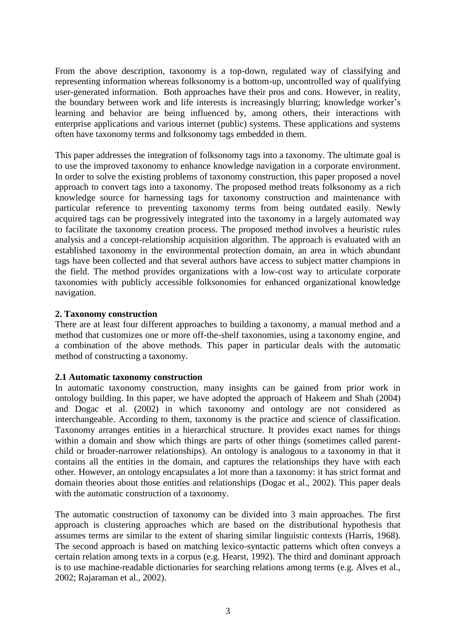From the above description, taxonomy is a top-down, regulated way of classifying and representing information whereas folksonomy is a bottom-up, uncontrolled way of qualifying user-generated information. Both approaches have their pros and cons. However, in reality, the boundary between work and life interests is increasingly blurring; knowledge worker"s learning and behavior are being influenced by, among others, their interactions with enterprise applications and various internet (public) systems. These applications and systems often have taxonomy terms and folksonomy tags embedded in them.

This paper addresses the integration of folksonomy tags into a taxonomy. The ultimate goal is to use the improved taxonomy to enhance knowledge navigation in a corporate environment. In order to solve the existing problems of taxonomy construction, this paper proposed a novel approach to convert tags into a taxonomy. The proposed method treats folksonomy as a rich knowledge source for harnessing tags for taxonomy construction and maintenance with particular reference to preventing taxonomy terms from being outdated easily. Newly acquired tags can be progressively integrated into the taxonomy in a largely automated way to facilitate the taxonomy creation process. The proposed method involves a heuristic rules analysis and a concept-relationship acquisition algorithm. The approach is evaluated with an established taxonomy in the environmental protection domain, an area in which abundant tags have been collected and that several authors have access to subject matter champions in the field. The method provides organizations with a low-cost way to articulate corporate taxonomies with publicly accessible folksonomies for enhanced organizational knowledge navigation.

## **2. Taxonomy construction**

There are at least four different approaches to building a taxonomy, a manual method and a method that customizes one or more off-the-shelf taxonomies, using a taxonomy engine, and a combination of the above methods. This paper in particular deals with the automatic method of constructing a taxonomy.

## **2.1 Automatic taxonomy construction**

In automatic taxonomy construction, many insights can be gained from prior work in ontology building. In this paper, we have adopted the approach of Hakeem and Shah (2004) and Dogac et al. (2002) in which taxonomy and ontology are not considered as interchangeable. According to them, taxonomy is the practice and science of classification. Taxonomy arranges entities in a hierarchical structure. It provides exact names for things within a domain and show which things are parts of other things (sometimes called parentchild or broader-narrower relationships). An ontology is analogous to a taxonomy in that it contains all the entities in the domain, and captures the relationships they have with each other. However, an ontology encapsulates a lot more than a taxonomy: it has strict format and domain theories about those entities and relationships (Dogac et al., 2002). This paper deals with the automatic construction of a taxonomy.

The automatic construction of taxonomy can be divided into 3 main approaches. The first approach is clustering approaches which are based on the distributional hypothesis that assumes terms are similar to the extent of sharing similar linguistic contexts (Harris, 1968). The second approach is based on matching lexico-syntactic patterns which often conveys a certain relation among texts in a corpus (e.g. Hearst, 1992). The third and dominant approach is to use machine-readable dictionaries for searching relations among terms (e.g. Alves et al., 2002; Rajaraman et al., 2002).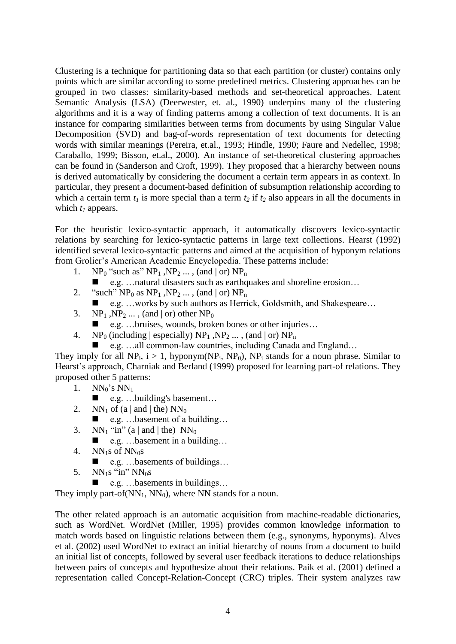Clustering is a technique for partitioning data so that each partition (or cluster) contains only points which are similar according to some predefined metrics. Clustering approaches can be grouped in two classes: similarity-based methods and set-theoretical approaches. Latent Semantic Analysis (LSA) (Deerwester, et. al., 1990) underpins many of the clustering algorithms and it is a way of finding patterns among a collection of text documents. It is an instance for comparing similarities between terms from documents by using Singular Value Decomposition (SVD) and bag-of-words representation of text documents for detecting words with similar meanings (Pereira, et.al., 1993; Hindle, 1990; Faure and Nedellec, 1998; Caraballo, 1999; Bisson, et.al., 2000). An instance of set-theoretical clustering approaches can be found in (Sanderson and Croft, 1999). They proposed that a hierarchy between nouns is derived automatically by considering the document a certain term appears in as context. In particular, they present a document-based definition of subsumption relationship according to which a certain term  $t_1$  is more special than a term  $t_2$  if  $t_2$  also appears in all the documents in which *t<sup>1</sup>* appears.

For the heuristic lexico-syntactic approach, it automatically discovers lexico-syntactic relations by searching for lexico-syntactic patterns in large text collections. Hearst (1992) identified several lexico-syntactic patterns and aimed at the acquisition of hyponym relations from Grolier"s American Academic Encyclopedia. These patterns include:

- 1. NP<sub>0</sub> "such as"  $NP_1$ ,  $NP_2$  ..., (and | or)  $NP_n$ 
	- e.g. …natural disasters such as earthquakes and shoreline erosion…
- 2. "such"  $NP_0$  as  $NP_1$ ,  $NP_2$  ..., (and | or)  $NP_n$ 
	- e.g. …works by such authors as Herrick, Goldsmith, and Shakespeare…
- 3.  $NP_1$ ,  $NP_2$ ,  $\ldots$ , (and | or) other  $NP_0$ 
	- e.g. …bruises, wounds, broken bones or other injuries…
- 4. NP<sub>0</sub> (including | especially)  $NP_1$ ,  $NP_2$  ..., (and | or)  $NP_n$ 
	- e.g. …all common-law countries, including Canada and England…

They imply for all NP<sub>i</sub>,  $i > 1$ , hyponym(NP<sub>i</sub>, NP<sub>0</sub>), NP<sub>i</sub> stands for a noun phrase. Similar to Hearst's approach, Charniak and Berland (1999) proposed for learning part-of relations. They proposed other 5 patterns:

- 1.  $NN_0$ 's  $NN_1$ 
	- e.g. …building's basement…
- 2. NN<sub>1</sub> of (a | and | the)  $NN_0$ 
	- e.g. …basement of a building…
- 3.  $NN_1$  "in" (a | and | the)  $NN_0$ 
	- e.g. …basement in a building…
- 4.  $NN_1s$  of  $NN_0s$ 
	- e.g. …basements of buildings…
- 5.  $NN_1s$  "in"  $NN_0s$ 
	- $\blacksquare$  e.g. …basements in buildings…

They imply part-of( $NN_1$ ,  $NN_0$ ), where NN stands for a noun.

The other related approach is an automatic acquisition from machine-readable dictionaries, such as WordNet. WordNet (Miller, 1995) provides common knowledge information to match words based on linguistic relations between them (e.g., synonyms, hyponyms). Alves et al. (2002) used WordNet to extract an initial hierarchy of nouns from a document to build an initial list of concepts, followed by several user feedback iterations to deduce relationships between pairs of concepts and hypothesize about their relations. Paik et al. (2001) defined a representation called Concept-Relation-Concept (CRC) triples. Their system analyzes raw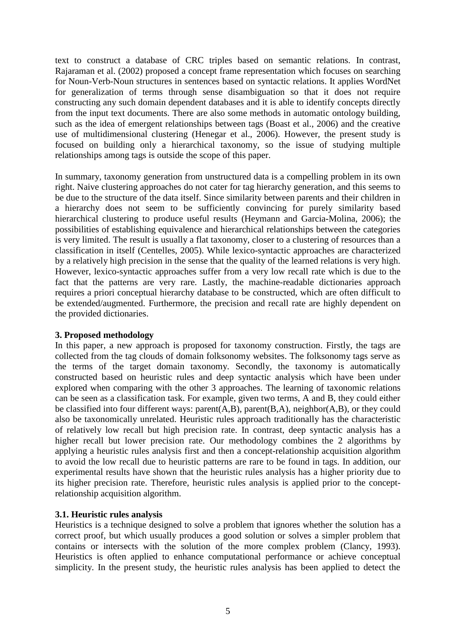text to construct a database of CRC triples based on semantic relations. In contrast, Rajaraman et al. (2002) proposed a concept frame representation which focuses on searching for Noun-Verb-Noun structures in sentences based on syntactic relations. It applies WordNet for generalization of terms through sense disambiguation so that it does not require constructing any such domain dependent databases and it is able to identify concepts directly from the input text documents. There are also some methods in automatic ontology building, such as the idea of emergent relationships between tags (Boast et al., 2006) and the creative use of multidimensional clustering (Henegar et al., 2006). However, the present study is focused on building only a hierarchical taxonomy, so the issue of studying multiple relationships among tags is outside the scope of this paper.

In summary, taxonomy generation from unstructured data is a compelling problem in its own right. Naive clustering approaches do not cater for tag hierarchy generation, and this seems to be due to the structure of the data itself. Since similarity between parents and their children in a hierarchy does not seem to be sufficiently convincing for purely similarity based hierarchical clustering to produce useful results (Heymann and Garcia-Molina, 2006); the possibilities of establishing equivalence and hierarchical relationships between the categories is very limited. The result is usually a flat taxonomy, closer to a clustering of resources than a classification in itself (Centelles, 2005). While lexico-syntactic approaches are characterized by a relatively high precision in the sense that the quality of the learned relations is very high. However, lexico-syntactic approaches suffer from a very low recall rate which is due to the fact that the patterns are very rare. Lastly, the machine-readable dictionaries approach requires a priori conceptual hierarchy database to be constructed, which are often difficult to be extended/augmented. Furthermore, the precision and recall rate are highly dependent on the provided dictionaries.

## **3. Proposed methodology**

In this paper, a new approach is proposed for taxonomy construction. Firstly, the tags are collected from the tag clouds of domain folksonomy websites. The folksonomy tags serve as the terms of the target domain taxonomy. Secondly, the taxonomy is automatically constructed based on heuristic rules and deep syntactic analysis which have been under explored when comparing with the other 3 approaches. The learning of taxonomic relations can be seen as a classification task. For example, given two terms, A and B, they could either be classified into four different ways: parent(A,B), parent(B,A), neighbor(A,B), or they could also be taxonomically unrelated. Heuristic rules approach traditionally has the characteristic of relatively low recall but high precision rate. In contrast, deep syntactic analysis has a higher recall but lower precision rate. Our methodology combines the 2 algorithms by applying a heuristic rules analysis first and then a concept-relationship acquisition algorithm to avoid the low recall due to heuristic patterns are rare to be found in tags. In addition, our experimental results have shown that the heuristic rules analysis has a higher priority due to its higher precision rate. Therefore, heuristic rules analysis is applied prior to the conceptrelationship acquisition algorithm.

## **3.1. Heuristic rules analysis**

Heuristics is a technique designed to solve a problem that ignores whether the solution has a correct proof, but which usually produces a good solution or solves a simpler problem that contains or intersects with the solution of the more complex problem (Clancy, 1993). Heuristics is often applied to enhance computational performance or achieve conceptual simplicity. In the present study, the heuristic rules analysis has been applied to detect the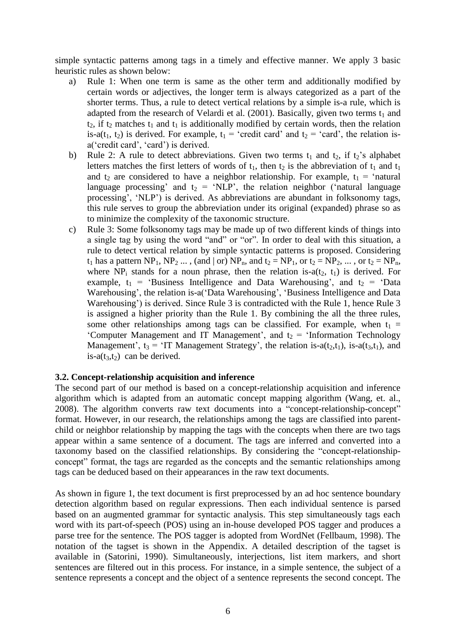simple syntactic patterns among tags in a timely and effective manner. We apply 3 basic heuristic rules as shown below:

- a) Rule 1: When one term is same as the other term and additionally modified by certain words or adjectives, the longer term is always categorized as a part of the shorter terms. Thus, a rule to detect vertical relations by a simple is-a rule, which is adapted from the research of Velardi et al.  $(2001)$ . Basically, given two terms  $t_1$  and  $t_2$ , if  $t_2$  matches  $t_1$  and  $t_1$  is additionally modified by certain words, then the relation is-a(t<sub>1</sub>, t<sub>2</sub>) is derived. For example,  $t_1$  = 'credit card' and  $t_2$  = 'card', the relation isa("credit card", "card") is derived.
- b) Rule 2: A rule to detect abbreviations. Given two terms  $t_1$  and  $t_2$ , if  $t_2$ 's alphabet letters matches the first letters of words of  $t_1$ , then  $t_2$  is the abbreviation of  $t_1$  and  $t_1$ and  $t_2$  are considered to have a neighbor relationship. For example,  $t_1$  = 'natural language processing' and  $t_2$  = 'NLP', the relation neighbor ('natural language processing', 'NLP') is derived. As abbreviations are abundant in folksonomy tags, this rule serves to group the abbreviation under its original (expanded) phrase so as to minimize the complexity of the taxonomic structure.
- c) Rule 3: Some folksonomy tags may be made up of two different kinds of things into a single tag by using the word "and" or "or". In order to deal with this situation, a rule to detect vertical relation by simple syntactic patterns is proposed. Considering  $t_1$  has a pattern NP<sub>1</sub>, NP<sub>2</sub> ..., (and | or) NP<sub>n</sub>, and  $t_2 = NP_1$ , or  $t_2 = NP_2$ , ..., or  $t_2 = NP_n$ , where NP<sub>i</sub> stands for a noun phrase, then the relation is- $a(t_2, t_1)$  is derived. For example,  $t_1$  = 'Business Intelligence and Data Warehousing', and  $t_2$  = 'Data Warehousing', the relation is-a('Data Warehousing', 'Business Intelligence and Data Warehousing') is derived. Since Rule 3 is contradicted with the Rule 1, hence Rule 3 is assigned a higher priority than the Rule 1. By combining the all the three rules, some other relationships among tags can be classified. For example, when  $t_1$  = 'Computer Management and IT Management', and  $t_2$  = 'Information Technology Management',  $t_3$  = 'IT Management Strategy', the relation is- $a(t_2,t_1)$ , is- $a(t_3,t_1)$ , and is-a $(t_3,t_2)$  can be derived.

## **3.2. Concept-relationship acquisition and inference**

The second part of our method is based on a concept-relationship acquisition and inference algorithm which is adapted from an automatic concept mapping algorithm (Wang, et. al., 2008). The algorithm converts raw text documents into a "concept-relationship-concept" format. However, in our research, the relationships among the tags are classified into parentchild or neighbor relationship by mapping the tags with the concepts when there are two tags appear within a same sentence of a document. The tags are inferred and converted into a taxonomy based on the classified relationships. By considering the "concept-relationshipconcept" format, the tags are regarded as the concepts and the semantic relationships among tags can be deduced based on their appearances in the raw text documents.

As shown in figure 1, the text document is first preprocessed by an ad hoc sentence boundary detection algorithm based on regular expressions. Then each individual sentence is parsed based on an augmented grammar for syntactic analysis. This step simultaneously tags each word with its part-of-speech (POS) using an in-house developed POS tagger and produces a parse tree for the sentence. The POS tagger is adopted from WordNet (Fellbaum, 1998). The notation of the tagset is shown in the Appendix. A detailed description of the tagset is available in (Satorini, 1990). Simultaneously, interjections, list item markers, and short sentences are filtered out in this process. For instance, in a simple sentence, the subject of a sentence represents a concept and the object of a sentence represents the second concept. The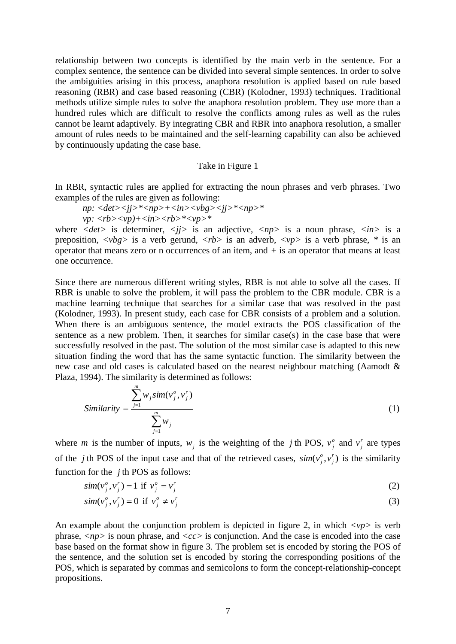relationship between two concepts is identified by the main verb in the sentence. For a complex sentence, the sentence can be divided into several simple sentences. In order to solve the ambiguities arising in this process, anaphora resolution is applied based on rule based reasoning (RBR) and case based reasoning (CBR) (Kolodner, 1993) techniques. Traditional methods utilize simple rules to solve the anaphora resolution problem. They use more than a hundred rules which are difficult to resolve the conflicts among rules as well as the rules cannot be learnt adaptively. By integrating CBR and RBR into anaphora resolution, a smaller amount of rules needs to be maintained and the self-learning capability can also be achieved by continuously updating the case base.

#### Take in Figure 1

In RBR, syntactic rules are applied for extracting the noun phrases and verb phrases. Two examples of the rules are given as following:

$$
np: \langle det \rangle \langle jj \rangle^* \langle np \rangle + \langle in \rangle \langle vbg \rangle \langle jj \rangle^* \langle np \rangle^*
$$
  

$$
vp: \langle rb \rangle \langle vp \rangle + \langle in \rangle \langle rb \rangle^* \langle vp \rangle^*
$$

where  $\langle det \rangle$  is determiner,  $\langle i \rangle$  is an adjective,  $\langle np \rangle$  is a noun phrase,  $\langle in \rangle$  is a preposition,  $\langle vbg \rangle$  is a verb gerund,  $\langle rb \rangle$  is an adverb,  $\langle vp \rangle$  is a verb phrase, \* is an operator that means zero or n occurrences of an item, and *+* is an operator that means at least one occurrence.

Since there are numerous different writing styles, RBR is not able to solve all the cases. If RBR is unable to solve the problem, it will pass the problem to the CBR module. CBR is a machine learning technique that searches for a similar case that was resolved in the past (Kolodner, 1993). In present study, each case for CBR consists of a problem and a solution. When there is an ambiguous sentence, the model extracts the POS classification of the sentence as a new problem. Then, it searches for similar case(s) in the case base that were successfully resolved in the past. The solution of the most similar case is adapted to this new situation finding the word that has the same syntactic function. The similarity between the new case and old cases is calculated based on the nearest neighbour matching (Aamodt & Plaza, 1994). The similarity is determined as follows:

$$
\text{Similarity} = \frac{\sum_{j=1}^{m} w_j \text{sim}(v_j^o, v_j^r)}{\sum_{j=1}^{m} w_j} \tag{1}
$$

where *m* is the number of inputs,  $w_j$  is the weighting of the *j* th POS,  $v_j^o$  $v_j^o$  and  $v_j^r$  $v_j^r$  are types of the *j* th POS of the input case and that of the retrieved cases,  $sim(v_i^o, v_i^r)$ *j o*  $\sin(v_j^o, v_j^r)$  is the similarity function for the  $j$ <sup>th</sup> POS as follows:

$$
sim(vjo, vjr) = 1 \text{ if } vjo = vjr
$$
 (2)

$$
sim(v_j^o, v_j^r) = 0 \text{ if } v_j^o \neq v_j^r \tag{3}
$$

An example about the conjunction problem is depicted in figure 2, in which *<vp>* is verb phrase, *<np>* is noun phrase, and *<cc>* is conjunction. And the case is encoded into the case base based on the format show in figure 3. The problem set is encoded by storing the POS of the sentence, and the solution set is encoded by storing the corresponding positions of the POS, which is separated by commas and semicolons to form the concept-relationship-concept propositions.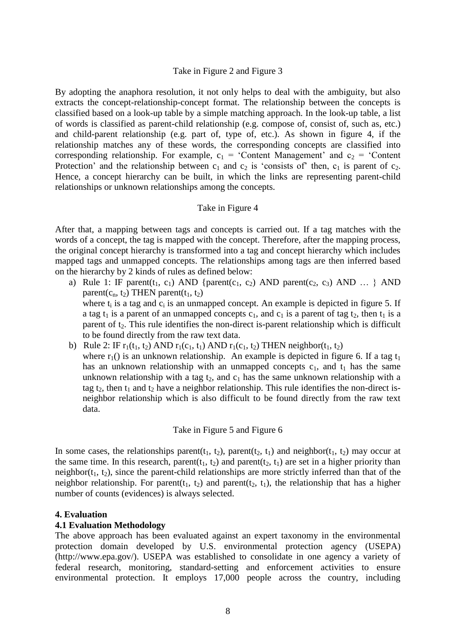#### Take in Figure 2 and Figure 3

By adopting the anaphora resolution, it not only helps to deal with the ambiguity, but also extracts the concept-relationship-concept format. The relationship between the concepts is classified based on a look-up table by a simple matching approach. In the look-up table, a list of words is classified as parent-child relationship (e.g. compose of, consist of, such as, etc.) and child-parent relationship (e.g. part of, type of, etc.). As shown in figure 4, if the relationship matches any of these words, the corresponding concepts are classified into corresponding relationship. For example,  $c_1$  = 'Content Management' and  $c_2$  = 'Content Protection' and the relationship between  $c_1$  and  $c_2$  is 'consists of' then,  $c_1$  is parent of  $c_2$ . Hence, a concept hierarchy can be built, in which the links are representing parent-child relationships or unknown relationships among the concepts.

#### Take in Figure 4

After that, a mapping between tags and concepts is carried out. If a tag matches with the words of a concept, the tag is mapped with the concept. Therefore, after the mapping process, the original concept hierarchy is transformed into a tag and concept hierarchy which includes mapped tags and unmapped concepts. The relationships among tags are then inferred based on the hierarchy by 2 kinds of rules as defined below:

- a) Rule 1: IF parent(t<sub>1</sub>, c<sub>1</sub>) AND {parent(c<sub>1</sub>, c<sub>2</sub>) AND parent(c<sub>2</sub>, c<sub>3</sub>) AND ... } AND parent( $c_n$ ,  $t_2$ ) THEN parent( $t_1$ ,  $t_2$ ) where  $t_i$  is a tag and  $c_i$  is an unmapped concept. An example is depicted in figure 5. If a tag t<sub>1</sub> is a parent of an unmapped concepts  $c_1$ , and  $c_1$  is a parent of tag t<sub>2</sub>, then t<sub>1</sub> is a parent of  $t_2$ . This rule identifies the non-direct is-parent relationship which is difficult to be found directly from the raw text data.
- b) Rule 2: IF  $r_1(t_1, t_2)$  AND  $r_1(c_1, t_1)$  AND  $r_1(c_1, t_2)$  THEN neighbor( $t_1, t_2$ ) where  $r_1$ () is an unknown relationship. An example is depicted in figure 6. If a tag  $t_1$ has an unknown relationship with an unmapped concepts  $c_1$ , and  $t_1$  has the same unknown relationship with a tag  $t_2$ , and  $c_1$  has the same unknown relationship with a tag t<sub>2</sub>, then t<sub>1</sub> and t<sub>2</sub> have a neighbor relationship. This rule identifies the non-direct isneighbor relationship which is also difficult to be found directly from the raw text data.

#### Take in Figure 5 and Figure 6

In some cases, the relationships parent(t<sub>1</sub>, t<sub>2</sub>), parent(t<sub>2</sub>, t<sub>1</sub>) and neighbor(t<sub>1</sub>, t<sub>2</sub>) may occur at the same time. In this research, parent( $t_1$ ,  $t_2$ ) and parent( $t_2$ ,  $t_1$ ) are set in a higher priority than neighbor( $t_1$ ,  $t_2$ ), since the parent-child relationships are more strictly inferred than that of the neighbor relationship. For parent( $t_1$ ,  $t_2$ ) and parent( $t_2$ ,  $t_1$ ), the relationship that has a higher number of counts (evidences) is always selected.

## **4. Evaluation**

## **4.1 Evaluation Methodology**

The above approach has been evaluated against an expert taxonomy in the environmental protection domain developed by U.S. environmental protection agency (USEPA) (http://www.epa.gov/). USEPA was established to consolidate in one agency a variety of federal research, monitoring, standard-setting and enforcement activities to ensure environmental protection. It employs 17,000 people across the country, including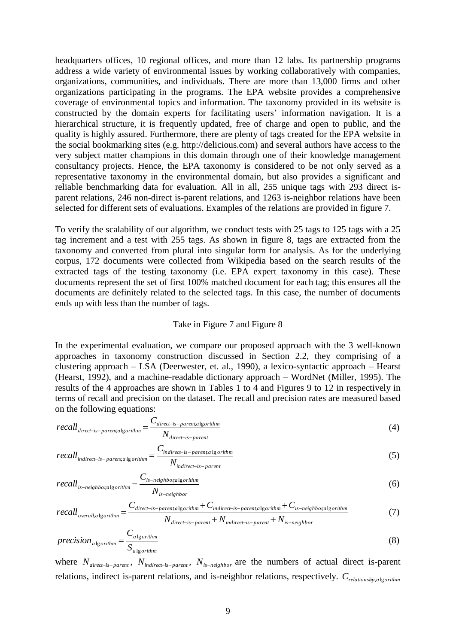headquarters offices, 10 regional offices, and more than 12 labs. Its partnership programs address a wide variety of environmental issues by working collaboratively with companies, organizations, communities, and individuals. There are more than 13,000 firms and other organizations participating in the programs. The EPA website provides a comprehensive coverage of environmental topics and information. The taxonomy provided in its website is constructed by the domain experts for facilitating users" information navigation. It is a hierarchical structure, it is frequently updated, free of charge and open to public, and the quality is highly assured. Furthermore, there are plenty of tags created for the EPA website in the social bookmarking sites (e.g. http://delicious.com) and several authors have access to the very subject matter champions in this domain through one of their knowledge management consultancy projects. Hence, the EPA taxonomy is considered to be not only served as a representative taxonomy in the environmental domain, but also provides a significant and reliable benchmarking data for evaluation. All in all, 255 unique tags with 293 direct isparent relations, 246 non-direct is-parent relations, and 1263 is-neighbor relations have been selected for different sets of evaluations. Examples of the relations are provided in figure 7.

To verify the scalability of our algorithm, we conduct tests with 25 tags to 125 tags with a 25 tag increment and a test with 255 tags. As shown in figure 8, tags are extracted from the taxonomy and converted from plural into singular form for analysis. As for the underlying corpus, 172 documents were collected from Wikipedia based on the search results of the extracted tags of the testing taxonomy (i.e. EPA expert taxonomy in this case). These documents represent the set of first 100% matched document for each tag; this ensures all the documents are definitely related to the selected tags. In this case, the number of documents ends up with less than the number of tags.

#### Take in Figure 7 and Figure 8

In the experimental evaluation, we compare our proposed approach with the 3 well-known approaches in taxonomy construction discussed in Section 2.2, they comprising of a clustering approach – LSA (Deerwester, et. al., 1990), a lexico-syntactic approach – Hearst (Hearst, 1992), and a machine-readable dictionary approach – WordNet (Miller, 1995). The results of the 4 approaches are shown in Tables 1 to 4 and Figures 9 to 12 in respectively in terms of recall and precision on the dataset. The recall and precision rates are measured based on the following equations:

$$
recall_{direct-is-parent, algorithm} = \frac{C_{direct-is-parent, algorithm}}{N_{direct-is-parent}} \tag{4}
$$

$$
recallindirect-is-parent,alg orithm = \frac{C_{indirect-is-parent,alg orithm}}{N_{indirect-is-parent}}
$$
\n(5)

$$
recall_{is-neighbor algorithm} = \frac{C_{is-neighbor algorithm}}{N_{is-neighbor}}
$$
\n(6)

$$
recall_{overall,algorithm} = \frac{C_{direct-is-parent, algorithm} + C_{indirect-is-parent, algorithm} + C_{is-neighbor} + C_{is-neighbor} + C_{is-neighbor} + C_{is-neighbor}
$$
\n
$$
N_{direct-is-parent} + N_{indirect-is-parent} + N_{is-neighbor}
$$
\n
$$
(7)
$$

$$
precision_{\text{algorithm}} = \frac{C_{\text{algorithm}}}{S_{\text{algorithm}}}
$$
\n(8)

where  $N_{\text{direct-is-parent}}$ ,  $N_{\text{indirect-is-parent}}$ ,  $N_{\text{is-neighbor}}$  are the numbers of actual direct is-parent relations, indirect is-parent relations, and is-neighbor relations, respectively. *Crelationship*,*a*lg*orithm*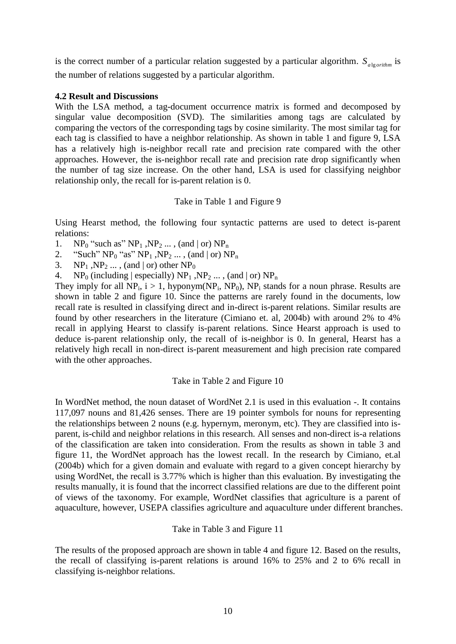is the correct number of a particular relation suggested by a particular algorithm.  $S_{\text{algorithm}}$  is the number of relations suggested by a particular algorithm.

#### **4.2 Result and Discussions**

With the LSA method, a tag-document occurrence matrix is formed and decomposed by singular value decomposition (SVD). The similarities among tags are calculated by comparing the vectors of the corresponding tags by cosine similarity. The most similar tag for each tag is classified to have a neighbor relationship. As shown in table 1 and figure 9, LSA has a relatively high is-neighbor recall rate and precision rate compared with the other approaches. However, the is-neighbor recall rate and precision rate drop significantly when the number of tag size increase. On the other hand, LSA is used for classifying neighbor relationship only, the recall for is-parent relation is 0.

#### Take in Table 1 and Figure 9

Using Hearst method, the following four syntactic patterns are used to detect is-parent relations:

1.  $NP_0$  "such as"  $NP_1$ ,  $NP_2$  ..., (and | or)  $NP_n$ 

2. "Such"  $NP_0$  "as"  $NP_1$ ,  $NP_2$  ..., (and | or)  $NP_n$ 

- 3.  $NP_1$ ,  $NP_2$  ..., (and | or) other  $NP_0$
- 4. NP<sub>0</sub> (including | especially)  $NP_1$ ,  $NP_2$  ..., (and | or)  $NP_n$

They imply for all  $NP_i$ ,  $i > 1$ , hyponym( $NP_i$ ,  $NP_0$ ),  $NP_i$  stands for a noun phrase. Results are shown in table 2 and figure 10. Since the patterns are rarely found in the documents, low recall rate is resulted in classifying direct and in-direct is-parent relations. Similar results are found by other researchers in the literature (Cimiano et. al, 2004b) with around 2% to 4% recall in applying Hearst to classify is-parent relations. Since Hearst approach is used to deduce is-parent relationship only, the recall of is-neighbor is 0. In general, Hearst has a relatively high recall in non-direct is-parent measurement and high precision rate compared with the other approaches.

## Take in Table 2 and Figure 10

In WordNet method, the noun dataset of WordNet 2.1 is used in this evaluation -. It contains 117,097 nouns and 81,426 senses. There are 19 pointer symbols for nouns for representing the relationships between 2 nouns (e.g. hypernym, meronym, etc). They are classified into isparent, is-child and neighbor relations in this research. All senses and non-direct is-a relations of the classification are taken into consideration. From the results as shown in table 3 and figure 11, the WordNet approach has the lowest recall. In the research by Cimiano, et.al (2004b) which for a given domain and evaluate with regard to a given concept hierarchy by using WordNet, the recall is 3.77% which is higher than this evaluation. By investigating the results manually, it is found that the incorrect classified relations are due to the different point of views of the taxonomy. For example, WordNet classifies that agriculture is a parent of aquaculture, however, USEPA classifies agriculture and aquaculture under different branches.

## Take in Table 3 and Figure 11

The results of the proposed approach are shown in table 4 and figure 12. Based on the results, the recall of classifying is-parent relations is around 16% to 25% and 2 to 6% recall in classifying is-neighbor relations.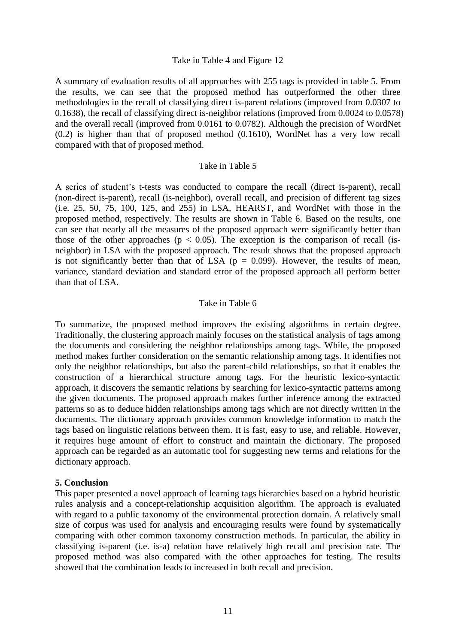#### Take in Table 4 and Figure 12

A summary of evaluation results of all approaches with 255 tags is provided in table 5. From the results, we can see that the proposed method has outperformed the other three methodologies in the recall of classifying direct is-parent relations (improved from 0.0307 to 0.1638), the recall of classifying direct is-neighbor relations (improved from 0.0024 to 0.0578) and the overall recall (improved from 0.0161 to 0.0782). Although the precision of WordNet (0.2) is higher than that of proposed method (0.1610), WordNet has a very low recall compared with that of proposed method.

## Take in Table 5

A series of student"s t-tests was conducted to compare the recall (direct is-parent), recall (non-direct is-parent), recall (is-neighbor), overall recall, and precision of different tag sizes (i.e. 25, 50, 75, 100, 125, and 255) in LSA, HEARST, and WordNet with those in the proposed method, respectively. The results are shown in Table 6. Based on the results, one can see that nearly all the measures of the proposed approach were significantly better than those of the other approaches ( $p < 0.05$ ). The exception is the comparison of recall (isneighbor) in LSA with the proposed approach. The result shows that the proposed approach is not significantly better than that of LSA ( $p = 0.099$ ). However, the results of mean, variance, standard deviation and standard error of the proposed approach all perform better than that of LSA.

#### Take in Table 6

To summarize, the proposed method improves the existing algorithms in certain degree. Traditionally, the clustering approach mainly focuses on the statistical analysis of tags among the documents and considering the neighbor relationships among tags. While, the proposed method makes further consideration on the semantic relationship among tags. It identifies not only the neighbor relationships, but also the parent-child relationships, so that it enables the construction of a hierarchical structure among tags. For the heuristic lexico-syntactic approach, it discovers the semantic relations by searching for lexico-syntactic patterns among the given documents. The proposed approach makes further inference among the extracted patterns so as to deduce hidden relationships among tags which are not directly written in the documents. The dictionary approach provides common knowledge information to match the tags based on linguistic relations between them. It is fast, easy to use, and reliable. However, it requires huge amount of effort to construct and maintain the dictionary. The proposed approach can be regarded as an automatic tool for suggesting new terms and relations for the dictionary approach.

## **5. Conclusion**

This paper presented a novel approach of learning tags hierarchies based on a hybrid heuristic rules analysis and a concept-relationship acquisition algorithm. The approach is evaluated with regard to a public taxonomy of the environmental protection domain. A relatively small size of corpus was used for analysis and encouraging results were found by systematically comparing with other common taxonomy construction methods. In particular, the ability in classifying is-parent (i.e. is-a) relation have relatively high recall and precision rate. The proposed method was also compared with the other approaches for testing. The results showed that the combination leads to increased in both recall and precision.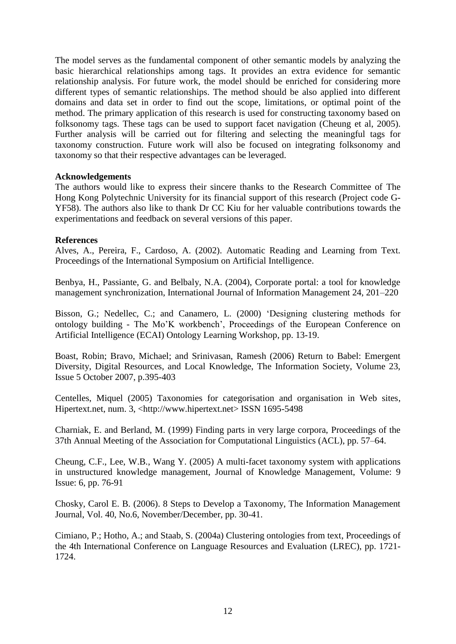The model serves as the fundamental component of other semantic models by analyzing the basic hierarchical relationships among tags. It provides an extra evidence for semantic relationship analysis. For future work, the model should be enriched for considering more different types of semantic relationships. The method should be also applied into different domains and data set in order to find out the scope, limitations, or optimal point of the method. The primary application of this research is used for constructing taxonomy based on folksonomy tags. These tags can be used to support facet navigation (Cheung et al, 2005). Further analysis will be carried out for filtering and selecting the meaningful tags for taxonomy construction. Future work will also be focused on integrating folksonomy and taxonomy so that their respective advantages can be leveraged.

## **Acknowledgements**

The authors would like to express their sincere thanks to the Research Committee of The Hong Kong Polytechnic University for its financial support of this research (Project code G-YF58). The authors also like to thank Dr CC Kiu for her valuable contributions towards the experimentations and feedback on several versions of this paper.

#### **References**

Alves, A., Pereira, F., Cardoso, A. (2002). Automatic Reading and Learning from Text. Proceedings of the International Symposium on Artificial Intelligence.

Benbya, H., Passiante, G. and Belbaly, N.A. (2004), Corporate portal: a tool for knowledge management synchronization, International Journal of Information Management 24, 201–220

Bisson, G.; Nedellec, C.; and Canamero, L. (2000) "Designing clustering methods for ontology building - The Mo"K workbench", Proceedings of the European Conference on Artificial Intelligence (ECAI) Ontology Learning Workshop, pp. 13-19.

Boast, Robin; Bravo, Michael; and Srinivasan, Ramesh (2006) Return to Babel: Emergent Diversity, Digital Resources, and Local Knowledge, The Information Society, Volume 23, Issue 5 October 2007, p.395-403

Centelles, Miquel (2005) Taxonomies for categorisation and organisation in Web sites, Hipertext.net, num. 3, <http://www.hipertext.net> ISSN 1695-5498

Charniak, E. and Berland, M. (1999) Finding parts in very large corpora, Proceedings of the 37th Annual Meeting of the Association for Computational Linguistics (ACL), pp. 57–64.

Cheung, C.F., Lee, W.B., Wang Y. (2005) A multi-facet taxonomy system with applications in unstructured knowledge management, Journal of Knowledge Management, Volume: 9 Issue: 6, pp. 76-91

Chosky, Carol E. B. (2006). 8 Steps to Develop a Taxonomy, The Information Management Journal, Vol. 40, No.6, November/December, pp. 30-41.

Cimiano, P.; Hotho, A.; and Staab, S. (2004a) Clustering ontologies from text, Proceedings of the 4th International Conference on Language Resources and Evaluation (LREC), pp. 1721- 1724.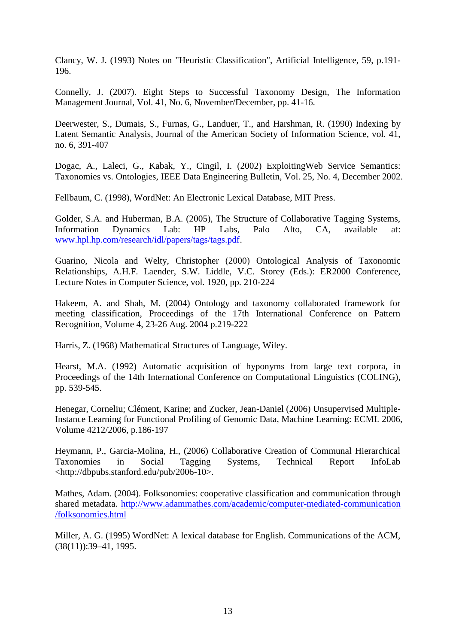Clancy, W. J. (1993) Notes on "Heuristic Classification", Artificial Intelligence, 59, p.191- 196.

Connelly, J. (2007). Eight Steps to Successful Taxonomy Design, The Information Management Journal, Vol. 41, No. 6, November/December, pp. 41-16.

Deerwester, S., Dumais, S., Furnas, G., Landuer, T., and Harshman, R. (1990) Indexing by Latent Semantic Analysis, Journal of the American Society of Information Science, vol. 41, no. 6, 391-407

Dogac, A., Laleci, G., Kabak, Y., Cingil, I. (2002) ExploitingWeb Service Semantics: Taxonomies vs. Ontologies, IEEE Data Engineering Bulletin, Vol. 25, No. 4, December 2002.

Fellbaum, C. (1998), WordNet: An Electronic Lexical Database, MIT Press.

Golder, S.A. and Huberman, B.A. (2005), The Structure of Collaborative Tagging Systems, Information Dynamics Lab: HP Labs, Palo Alto, CA, available at: [www.hpl.hp.com/research/idl/papers/tags/tags.pdf.](http://www.hpl.hp.com/research/idl/papers/tags/tags.pdf)

Guarino, Nicola and Welty, Christopher (2000) Ontological Analysis of Taxonomic Relationships, A.H.F. Laender, S.W. Liddle, V.C. Storey (Eds.): ER2000 Conference, Lecture Notes in Computer Science, vol. 1920, pp. 210-224

Hakeem, A. and Shah, M. (2004) Ontology and taxonomy collaborated framework for meeting classification, Proceedings of the 17th International Conference on Pattern Recognition, Volume 4, 23-26 Aug. 2004 p.219-222

Harris, Z. (1968) Mathematical Structures of Language, Wiley.

Hearst, M.A. (1992) Automatic acquisition of hyponyms from large text corpora, in Proceedings of the 14th International Conference on Computational Linguistics (COLING), pp. 539-545.

Henegar, Corneliu; Clément, Karine; and Zucker, Jean-Daniel (2006) Unsupervised Multiple-Instance Learning for Functional Profiling of Genomic Data, Machine Learning: ECML 2006, Volume 4212/2006, p.186-197

Heymann, P., Garcia-Molina, H., (2006) Collaborative Creation of Communal Hierarchical Taxonomies in Social Tagging Systems, Technical Report InfoLab <http://dbpubs.stanford.edu/pub/2006-10>.

Mathes, Adam. (2004). Folksonomies: cooperative classification and communication through shared metadata. [http://www.adammathes.com/academic/computer-mediated-communication](http://www.adammathes.com/academic/computer-mediated-communication%20/folksonomies.html)  [/folksonomies.html](http://www.adammathes.com/academic/computer-mediated-communication%20/folksonomies.html)

Miller, A. G. (1995) WordNet: A lexical database for English. Communications of the ACM, (38(11)):39–41, 1995.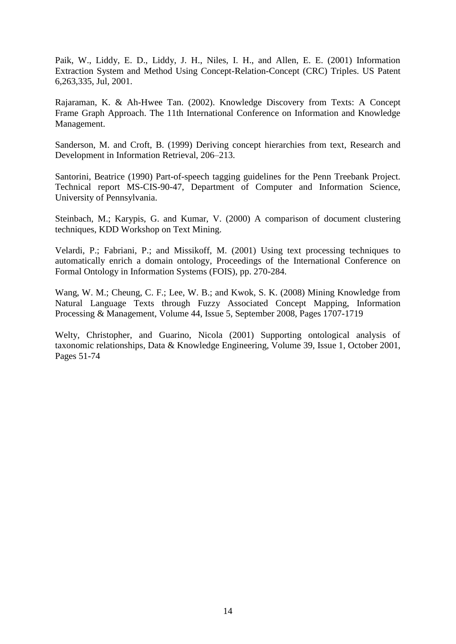Paik, W., Liddy, E. D., Liddy, J. H., Niles, I. H., and Allen, E. E. (2001) Information Extraction System and Method Using Concept-Relation-Concept (CRC) Triples. US Patent 6,263,335, Jul, 2001.

Rajaraman, K. & Ah-Hwee Tan. (2002). Knowledge Discovery from Texts: A Concept Frame Graph Approach. The 11th International Conference on Information and Knowledge Management.

Sanderson, M. and Croft, B. (1999) Deriving concept hierarchies from text, Research and Development in Information Retrieval, 206–213.

Santorini, Beatrice (1990) Part-of-speech tagging guidelines for the Penn Treebank Project. Technical report MS-CIS-90-47, Department of Computer and Information Science, University of Pennsylvania.

Steinbach, M.; Karypis, G. and Kumar, V. (2000) A comparison of document clustering techniques, KDD Workshop on Text Mining.

Velardi, P.; Fabriani, P.; and Missikoff, M. (2001) Using text processing techniques to automatically enrich a domain ontology, Proceedings of the International Conference on Formal Ontology in Information Systems (FOIS), pp. 270-284.

Wang, W. M.; Cheung, C. F.; Lee, W. B.; and Kwok, S. K. (2008) Mining Knowledge from Natural Language Texts through Fuzzy Associated Concept Mapping, Information Processing & Management, Volume 44, Issue 5, September 2008, Pages 1707-1719

Welty, Christopher, and Guarino, Nicola (2001) Supporting ontological analysis of taxonomic relationships, Data & Knowledge Engineering, Volume 39, Issue 1, October 2001, Pages 51-74